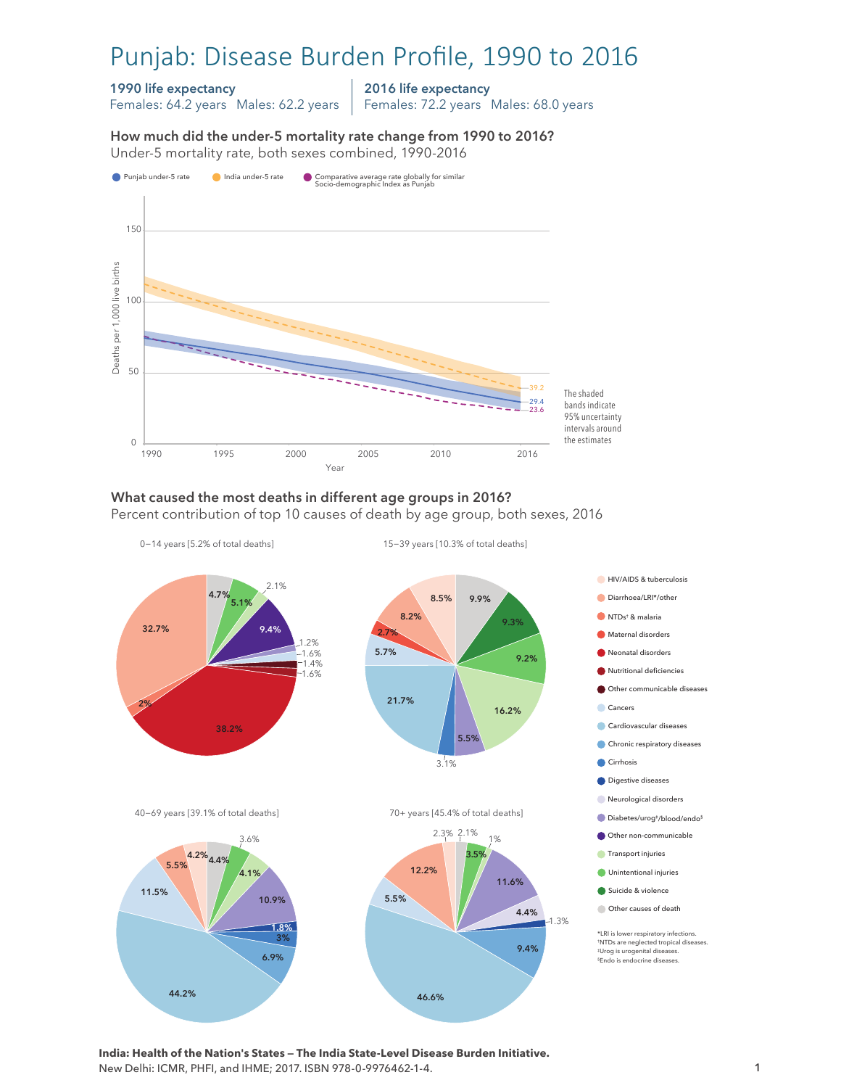# Punjab: Disease Burden Profile, 1990 to 2016

#### 1990 life expectancy

Females: 64.2 years Males: 62.2 years

2016 life expectancy

Females: 72.2 years Males: 68.0 years

How much did the under-5 mortality rate change from 1990 to 2016?





#### What caused the most deaths in different age groups in 2016?

Percent contribution of top 10 causes of death by age group, both sexes, 2016



**India: Health of the Nation's States — The India State-Level Disease Burden Initiative.**  New Delhi: ICMR, PHFI, and IHME; 2017. ISBN 978-0-9976462-1-4.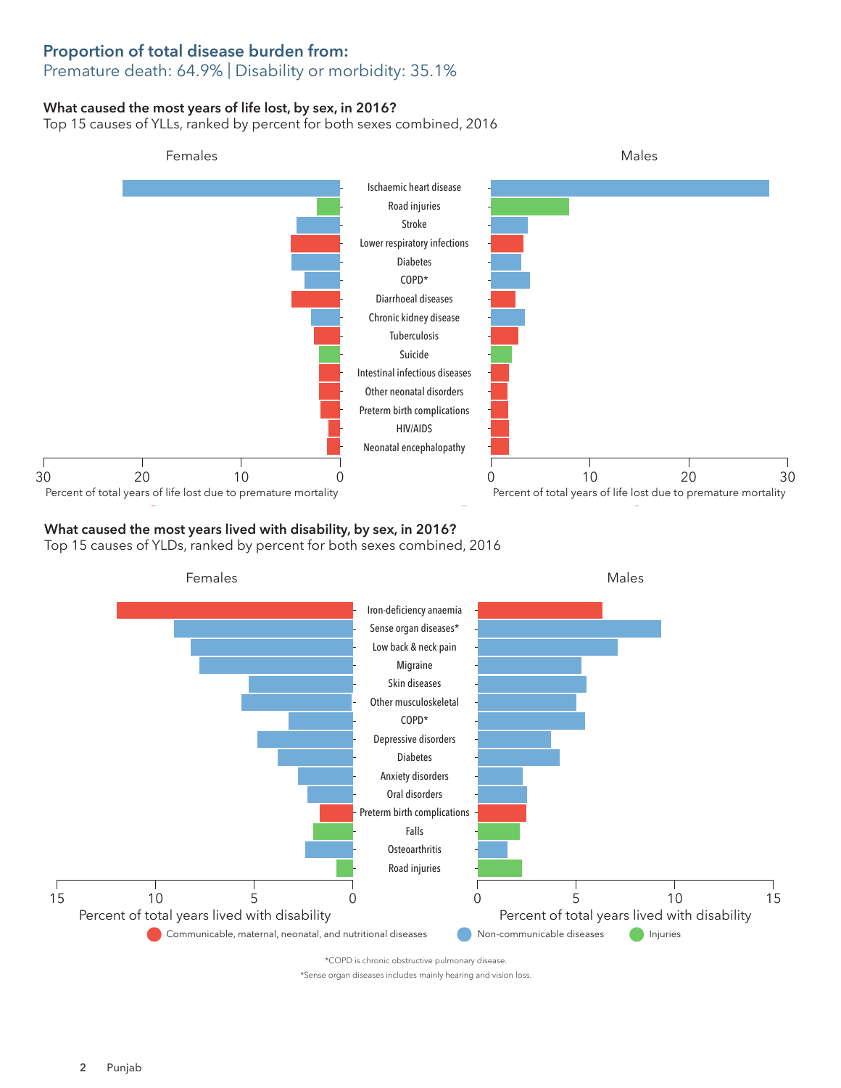## Proportion of total disease burden from:

### Premature death: 64.9% | Disability or morbidity: 35.1%

#### What caused the most years of life lost, by sex, in 2016?

Top 15 causes of YLLs, ranked by percent for both sexes combined, 2016



### What caused the most years lived with disability, by sex, in 2016?

Top 15 causes of YLDs, ranked by percent for both sexes combined, 2016



\*COPD is chronic obstructive pulmonary disease.

\*Sense organ diseases includes mainly hearing and vision loss.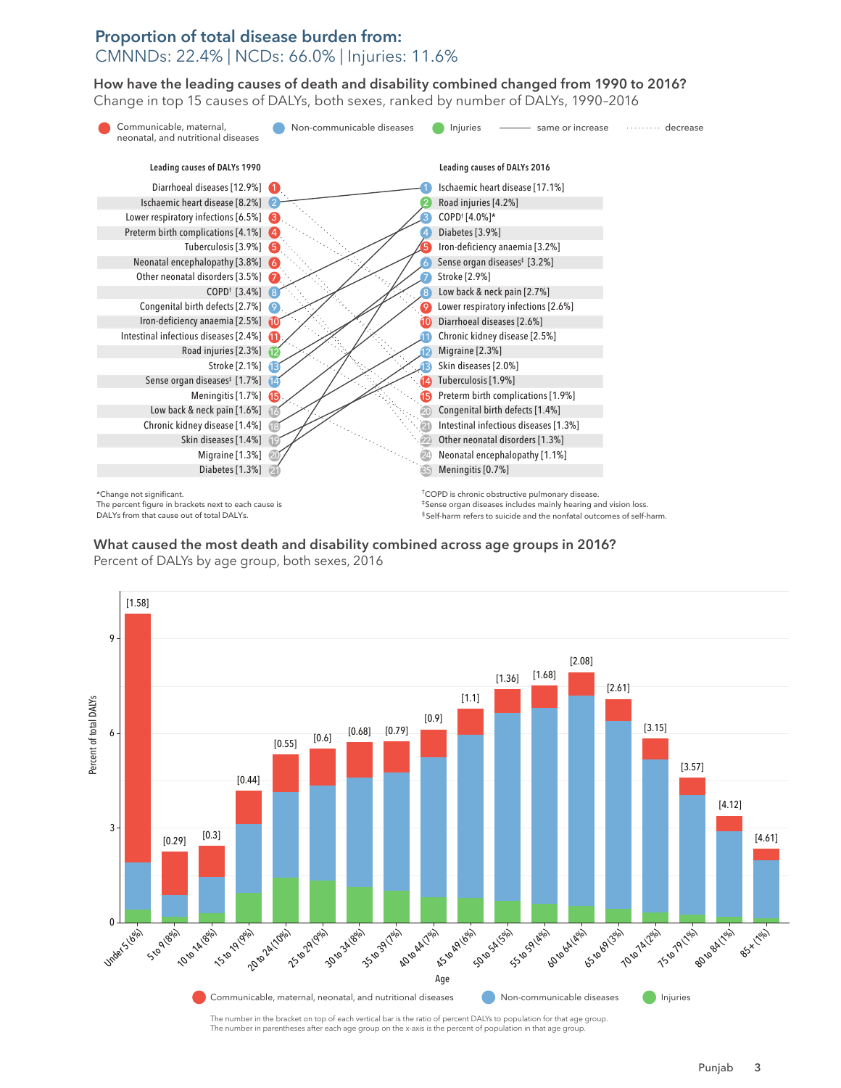#### Proportion of total disease burden from: CMNNDs: 22.4% | NCDs: 66.0% | Injuries: 11.6%

How have the leading causes of death and disability combined changed from 1990 to 2016? How have the leading causes of death and disability combined changed from 1990 to 2016? Change in top 15 causes of DALYs, both sexes, ranked by number of DALYs, 1990–2016 Change in top 15 causes of DALYs, both sexes, ranked by number of DALYs, 1990–2016



The percent figure in brackets next to each cause is DALYs from that cause out of total DALYs.

‡Sense organ diseases includes mainly hearing and vision loss. § Self-harm refers to suicide and the nonfatal outcomes of self-harm.

What caused the most death and disability combined across age groups in 2016?

Percent of DALYs by age group, both sexes, 2016



The number in parentheses after each age group on the x-axis is the percent of population in that age gro